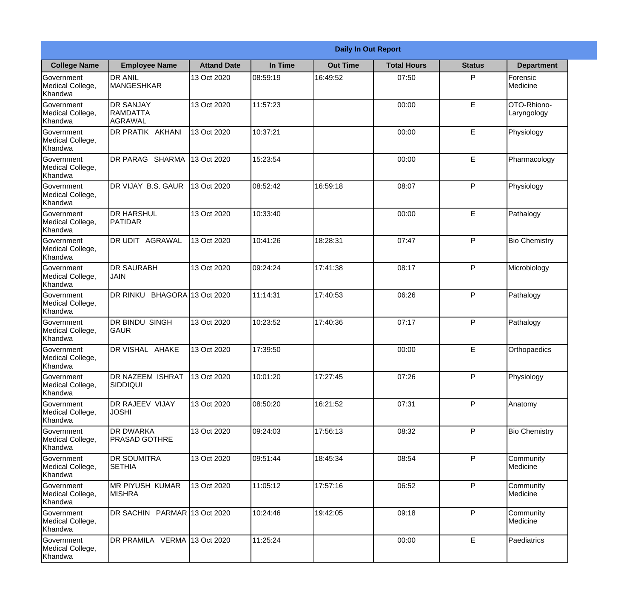|                                                  |                                                |                     |          | <b>Daily In Out Report</b> |                    |               |                             |
|--------------------------------------------------|------------------------------------------------|---------------------|----------|----------------------------|--------------------|---------------|-----------------------------|
| <b>College Name</b>                              | <b>Employee Name</b>                           | <b>Attand Date</b>  | In Time  | <b>Out Time</b>            | <b>Total Hours</b> | <b>Status</b> | <b>Department</b>           |
| Government<br>Medical College,<br>Khandwa        | <b>DR ANIL</b><br><b>MANGESHKAR</b>            | 13 Oct 2020         | 08:59:19 | 16:49:52                   | 07:50              | P             | Forensic<br><b>Medicine</b> |
| Government<br>Medical College,<br>Khandwa        | <b>DR SANJAY</b><br><b>RAMDATTA</b><br>AGRAWAL | 13 Oct 2020         | 11:57:23 |                            | 00:00              | E             | OTO-Rhiono-<br>Laryngology  |
| <b>Government</b><br>Medical College,<br>Khandwa | DR PRATIK AKHANI                               | 13 Oct 2020         | 10:37:21 |                            | 00:00              | E             | Physiology                  |
| Government<br>Medical College,<br>Khandwa        | DR PARAG SHARMA                                | 13 Oct 2020         | 15:23:54 |                            | 00:00              | E             | Pharmacology                |
| Government<br>Medical College,<br>Khandwa        | DR VIJAY B.S. GAUR                             | 13 Oct 2020         | 08:52:42 | 16:59:18                   | 08:07              | P             | Physiology                  |
| Government<br>Medical College,<br>Khandwa        | <b>DR HARSHUL</b><br><b>PATIDAR</b>            | 13 Oct 2020         | 10:33:40 |                            | 00:00              | E             | Pathalogy                   |
| Government<br>Medical College,<br>Khandwa        | DR UDIT AGRAWAL                                | 13 Oct 2020         | 10:41:26 | 18:28:31                   | 07:47              | P             | <b>Bio Chemistry</b>        |
| Government<br>Medical College,<br>Khandwa        | <b>DR SAURABH</b><br><b>JAIN</b>               | 13 Oct 2020         | 09:24:24 | 17:41:38                   | 08:17              | P             | Microbiology                |
| Government<br>Medical College,<br>Khandwa        | DR RINKU                                       | BHAGORA 13 Oct 2020 | 11:14:31 | 17:40:53                   | 06:26              | P             | Pathalogy                   |
| Government<br>Medical College,<br>Khandwa        | <b>DR BINDU SINGH</b><br><b>GAUR</b>           | 13 Oct 2020         | 10:23:52 | 17:40:36                   | 07:17              | P             | Pathalogy                   |
| Government<br>Medical College,<br>Khandwa        | <b>IDR VISHAL AHAKE</b>                        | 13 Oct 2020         | 17:39:50 |                            | 00:00              | E             | Orthopaedics                |
| Government<br>Medical College,<br>Khandwa        | <b>DR NAZEEM ISHRAT</b><br><b>SIDDIQUI</b>     | 13 Oct 2020         | 10:01:20 | 17:27:45                   | 07:26              | P             | Physiology                  |
| Government<br>Medical College,<br>Khandwa        | <b>DR RAJEEV VIJAY</b><br><b>JOSHI</b>         | 13 Oct 2020         | 08:50:20 | 16:21:52                   | 07:31              | P             | Anatomy                     |
| Government<br>Medical College,<br>Khandwa        | <b>DR DWARKA</b><br><b>PRASAD GOTHRE</b>       | 13 Oct 2020         | 09:24:03 | 17:56:13                   | 08:32              | P             | <b>Bio Chemistry</b>        |
| Government<br>Medical College,<br>Khandwa        | <b>DR SOUMITRA</b><br><b>SETHIA</b>            | 13 Oct 2020         | 09:51:44 | 18:45:34                   | 08:54              | $\mathsf{P}$  | Community<br>Medicine       |
| Government<br>Medical College,<br>Khandwa        | <b>MR PIYUSH KUMAR</b><br><b>MISHRA</b>        | 13 Oct 2020         | 11:05:12 | 17:57:16                   | 06:52              | P             | Community<br>Medicine       |
| Government<br>Medical College,<br>Khandwa        | DR SACHIN PARMAR 13 Oct 2020                   |                     | 10:24:46 | 19:42:05                   | 09:18              | P             | Community<br>Medicine       |
| Government<br>Medical College,<br>Khandwa        | DR PRAMILA VERMA 13 Oct 2020                   |                     | 11:25:24 |                            | 00:00              | E             | Paediatrics                 |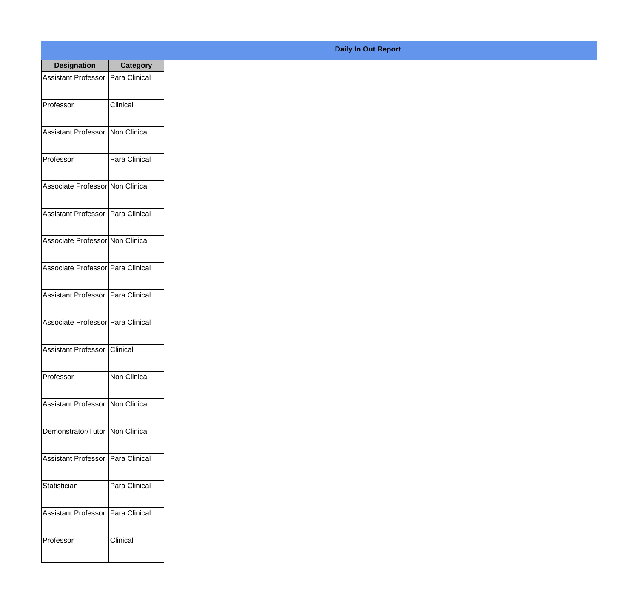| <b>Designation</b>                  | <b>Category</b> |
|-------------------------------------|-----------------|
| Assistant Professor   Para Clinical |                 |
| Professor                           | Clinical        |
| <b>Assistant Professor</b>          | Non Clinical    |
| Professor                           | Para Clinical   |
| Associate Professor Non Clinical    |                 |
| Assistant Professor   Para Clinical |                 |
| Associate Professor Non Clinical    |                 |
| Associate Professor Para Clinical   |                 |
| Assistant Professor   Para Clinical |                 |
| Associate Professor Para Clinical   |                 |
| <b>Assistant Professor</b>          | Clinical        |
| Professor                           | Non Clinical    |
| Assistant Professor Non Clinical    |                 |
| Demonstrator/Tutor   Non Clinical   |                 |
| <b>Assistant Professor</b>          | Para Clinical   |
| Statistician                        | Para Clinical   |
| <b>Assistant Professor</b>          | Para Clinical   |
| Professor                           | Clinical        |

**Daily In Out Report**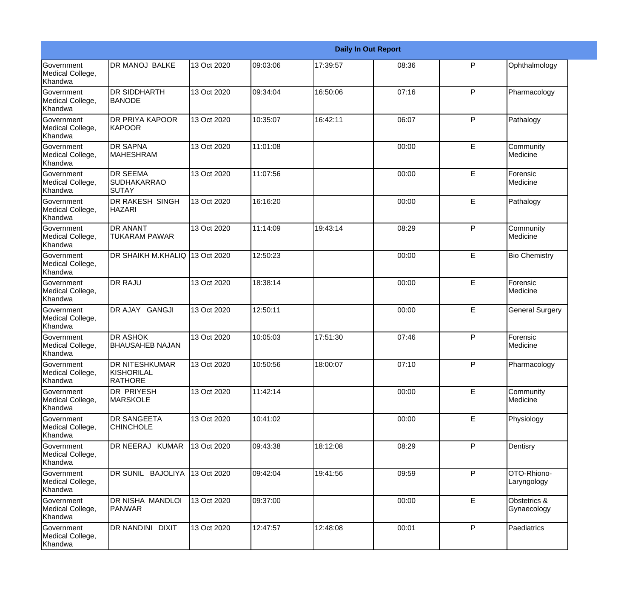|                                                  |                                                       |             |          |          | <b>Daily In Out Report</b> |   |                             |
|--------------------------------------------------|-------------------------------------------------------|-------------|----------|----------|----------------------------|---|-----------------------------|
| Government<br>Medical College,<br>Khandwa        | <b>DR MANOJ BALKE</b>                                 | 13 Oct 2020 | 09:03:06 | 17:39:57 | 08:36                      | P | Ophthalmology               |
| Government<br>Medical College,<br>Khandwa        | <b>DR SIDDHARTH</b><br><b>BANODE</b>                  | 13 Oct 2020 | 09:34:04 | 16:50:06 | 07:16                      | P | Pharmacology                |
| <b>Government</b><br>Medical College,<br>Khandwa | <b>DR PRIYA KAPOOR</b><br>KAPOOR                      | 13 Oct 2020 | 10:35:07 | 16:42:11 | 06:07                      | P | Pathalogy                   |
| <b>Government</b><br>Medical College,<br>Khandwa | <b>DR SAPNA</b><br><b>MAHESHRAM</b>                   | 13 Oct 2020 | 11:01:08 |          | 00:00                      | E | Community<br>Medicine       |
| Government<br>Medical College,<br>Khandwa        | <b>DR SEEMA</b><br><b>SUDHAKARRAO</b><br>SUTAY        | 13 Oct 2020 | 11:07:56 |          | 00:00                      | E | Forensic<br>Medicine        |
| Government<br>Medical College,<br>Khandwa        | <b>DR RAKESH SINGH</b><br><b>HAZARI</b>               | 13 Oct 2020 | 16:16:20 |          | 00:00                      | E | Pathalogy                   |
| Government<br>Medical College,<br>Khandwa        | <b>DR ANANT</b><br><b>TUKARAM PAWAR</b>               | 13 Oct 2020 | 11:14:09 | 19:43:14 | 08:29                      | P | Community<br>Medicine       |
| Government<br>Medical College,<br>Khandwa        | DR SHAIKH M.KHALIQ 13 Oct 2020                        |             | 12:50:23 |          | 00:00                      | E | <b>Bio Chemistry</b>        |
| Government<br>Medical College,<br>Khandwa        | <b>DR RAJU</b>                                        | 13 Oct 2020 | 18:38:14 |          | 00:00                      | E | Forensic<br>Medicine        |
| Government<br>Medical College,<br>Khandwa        | DR AJAY GANGJI                                        | 13 Oct 2020 | 12:50:11 |          | 00:00                      | E | <b>General Surgery</b>      |
| <b>Government</b><br>Medical College,<br>Khandwa | <b>DR ASHOK</b><br><b>BHAUSAHEB NAJAN</b>             | 13 Oct 2020 | 10:05:03 | 17:51:30 | 07:46                      | P | Forensic<br>Medicine        |
| Government<br>Medical College,<br>Khandwa        | <b>DR NITESHKUMAR</b><br>KISHORILAL<br><b>RATHORE</b> | 13 Oct 2020 | 10:50:56 | 18:00:07 | 07:10                      | P | Pharmacology                |
| Government<br>Medical College,<br>Khandwa        | <b>DR PRIYESH</b><br><b>MARSKOLE</b>                  | 13 Oct 2020 | 11:42:14 |          | 00:00                      | E | Community<br>Medicine       |
| Government<br>Medical College,<br>Khandwa        | <b>DR SANGEETA</b><br><b>CHINCHOLE</b>                | 13 Oct 2020 | 10:41:02 |          | 00:00                      | E | Physiology                  |
| Government<br>Medical College,<br>Khandwa        | DR NEERAJ KUMAR                                       | 13 Oct 2020 | 09:43:38 | 18:12:08 | 08:29                      | P | Dentisry                    |
| Government<br>Medical College,<br>Khandwa        | DR SUNIL BAJOLIYA                                     | 13 Oct 2020 | 09:42:04 | 19:41:56 | 09:59                      | P | OTO-Rhiono-<br>Laryngology  |
| Government<br>Medical College,<br>Khandwa        | <b>DR NISHA MANDLOI</b><br>PANWAR                     | 13 Oct 2020 | 09:37:00 |          | 00:00                      | E | Obstetrics &<br>Gynaecology |
| Government<br>Medical College,<br>Khandwa        | <b>DR NANDINI DIXIT</b>                               | 13 Oct 2020 | 12:47:57 | 12:48:08 | 00:01                      | P | Paediatrics                 |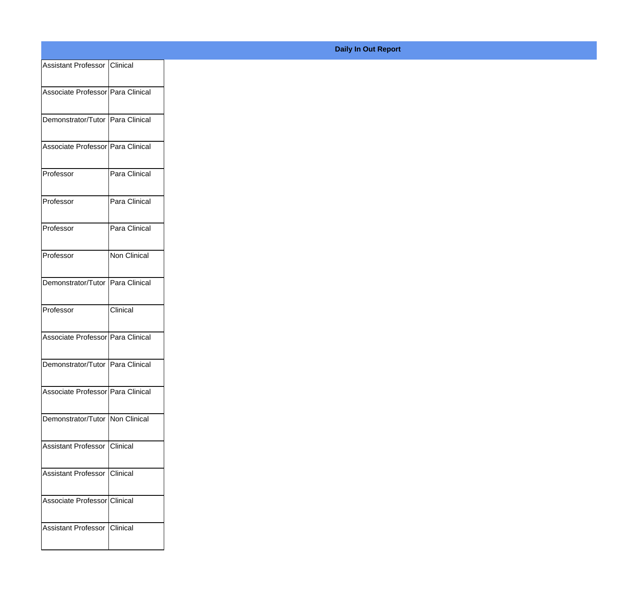| Assistant Professor   Clinical     |               |
|------------------------------------|---------------|
| Associate Professor Para Clinical  |               |
| Demonstrator/Tutor   Para Clinical |               |
| Associate Professor Para Clinical  |               |
| Professor                          | Para Clinical |
| Professor                          | Para Clinical |
| Professor                          | Para Clinical |
| Professor                          | Non Clinical  |
| Demonstrator/Tutor   Para Clinical |               |
| Professor                          | Clinical      |
| Associate Professor Para Clinical  |               |
| Demonstrator/Tutor   Para Clinical |               |
| Associate Professor Para Clinical  |               |
| Demonstrator/Tutor   Non Clinical  |               |
| Assistant Professor   Clinical     |               |
| Assistant Professor Clinical       |               |
| Associate Professor Clinical       |               |
| <b>Assistant Professor</b>         | Clinical      |

**Daily In Out Report**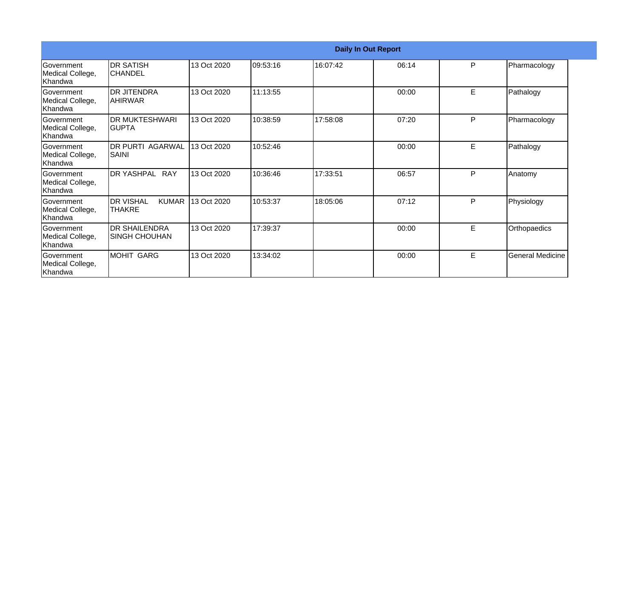|                                                  |                                                   |             |          | <b>Daily In Out Report</b> |       |    |                  |
|--------------------------------------------------|---------------------------------------------------|-------------|----------|----------------------------|-------|----|------------------|
| Government<br>Medical College,<br>Khandwa        | <b>DR SATISH</b><br><b>CHANDEL</b>                | 13 Oct 2020 | 09:53:16 | 16:07:42                   | 06:14 | P  | Pharmacology     |
| <b>Government</b><br>Medical College,<br>Khandwa | <b>DR JITENDRA</b><br>IAHIRWAR                    | 13 Oct 2020 | 11:13:55 |                            | 00:00 | E  | Pathalogy        |
| Government<br>Medical College,<br>Khandwa        | <b>DR MUKTESHWARI</b><br>IGUPTA                   | 13 Oct 2020 | 10:38:59 | 17:58:08                   | 07:20 | P  | Pharmacology     |
| Government<br>Medical College,<br>Khandwa        | <b>DR PURTI AGARWAL</b><br><b>SAINI</b>           | 13 Oct 2020 | 10:52:46 |                            | 00:00 | E  | Pathalogy        |
| Government<br>Medical College,<br>Khandwa        | DR YASHPAL RAY                                    | 13 Oct 2020 | 10:36:46 | 17:33:51                   | 06:57 | P  | Anatomy          |
| Government<br>Medical College,<br>Khandwa        | <b>DR VISHAL</b><br><b>KUMAR</b><br><b>THAKRE</b> | 13 Oct 2020 | 10:53:37 | 18:05:06                   | 07:12 | P  | Physiology       |
| <b>Government</b><br>Medical College,<br>Khandwa | <b>DR SHAILENDRA</b><br>SINGH CHOUHAN             | 13 Oct 2020 | 17:39:37 |                            | 00:00 | E. | Orthopaedics     |
| Government<br>Medical College,<br>Khandwa        | MOHIT GARG                                        | 13 Oct 2020 | 13:34:02 |                            | 00:00 | E  | General Medicine |